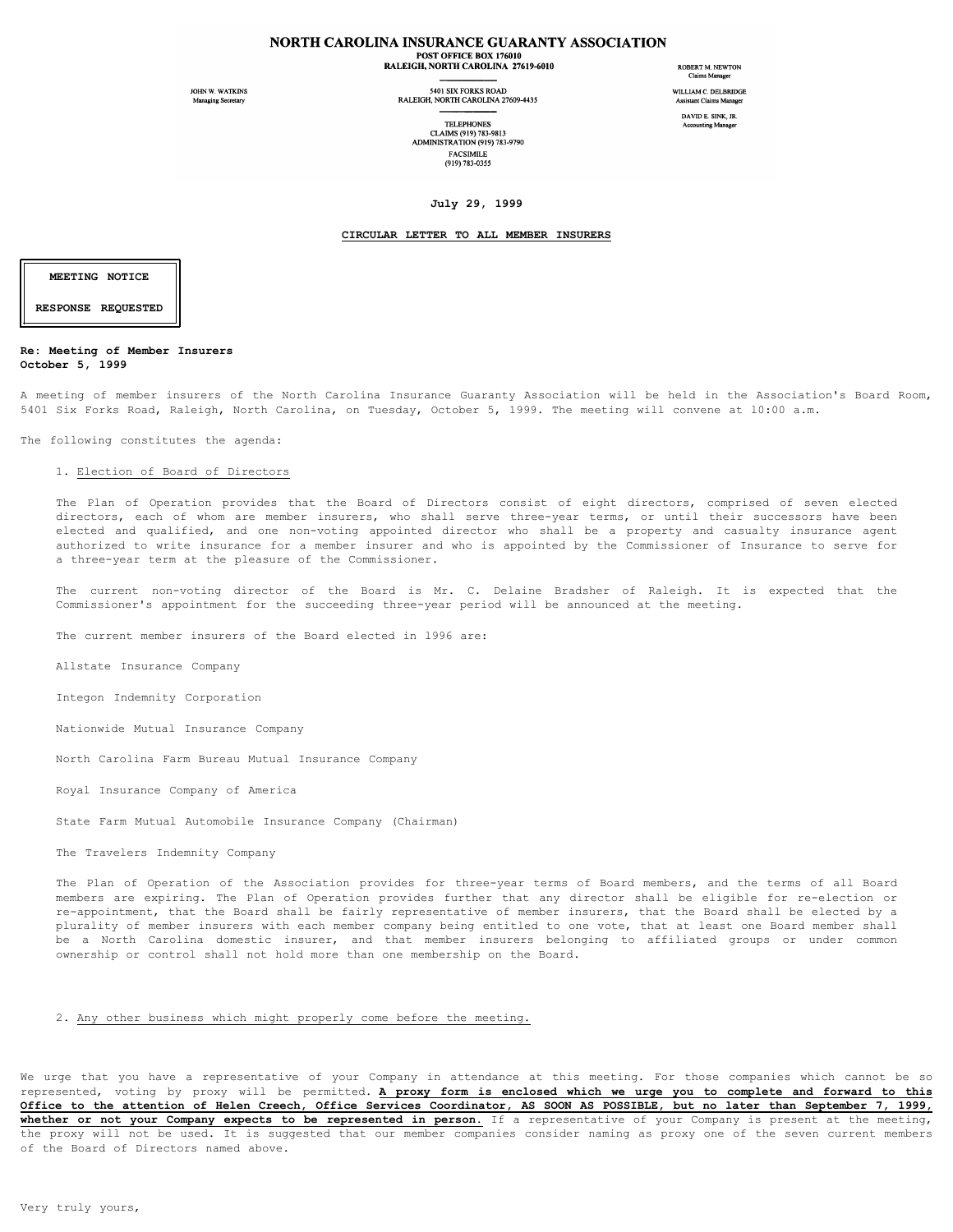# NORTH CAROLINA INSURANCE GUARANTY ASSOCIATION

POST OFFICE BOX 176010 RALEIGH, NORTH CAROLINA 27619-6010

JOHN W. WATKINS Managing Secretary

5401 SIX FORKS ROAD<br>RALEIGH, NORTH CAROLINA 27609-4435

**TELEPHONES** CLAIMS (919) 783-9813 ADMINISTRATION (919) 783-9790 **FACSIMILE** (919) 783-0355

ROBERT M. NEWTON Claims Manager WILLIAM C. DELBRIDGE **Assistant Claims Manage** 

DAVID E. SINK, JR **Accounting Manager** 

**July 29, 1999**

#### **CIRCULAR LETTER TO ALL MEMBER INSURERS**

**MEETING NOTICE RESPONSE REQUESTED**

## **Re: Meeting of Member Insurers October 5, 1999**

A meeting of member insurers of the North Carolina Insurance Guaranty Association will be held in the Association's Board Room, 5401 Six Forks Road, Raleigh, North Carolina, on Tuesday, October 5, 1999. The meeting will convene at l0:00 a.m.

The following constitutes the agenda:

#### 1. Election of Board of Directors

The Plan of Operation provides that the Board of Directors consist of eight directors, comprised of seven elected directors, each of whom are member insurers, who shall serve three-year terms, or until their successors have been elected and qualified, and one non-voting appointed director who shall be a property and casualty insurance agent authorized to write insurance for a member insurer and who is appointed by the Commissioner of Insurance to serve for a three-year term at the pleasure of the Commissioner.

The current non-voting director of the Board is Mr. C. Delaine Bradsher of Raleigh. It is expected that the Commissioner's appointment for the succeeding three-year period will be announced at the meeting.

The current member insurers of the Board elected in l996 are:

Allstate Insurance Company

Integon Indemnity Corporation

Nationwide Mutual Insurance Company

North Carolina Farm Bureau Mutual Insurance Company

Royal Insurance Company of America

State Farm Mutual Automobile Insurance Company (Chairman)

The Travelers Indemnity Company

The Plan of Operation of the Association provides for three-year terms of Board members, and the terms of all Board members are expiring. The Plan of Operation provides further that any director shall be eligible for re-election or re-appointment, that the Board shall be fairly representative of member insurers, that the Board shall be elected by a plurality of member insurers with each member company being entitled to one vote, that at least one Board member shall be a North Carolina domestic insurer, and that member insurers belonging to affiliated groups or under common ownership or control shall not hold more than one membership on the Board.

## 2. Any other business which might properly come before the meeting.

We urge that you have a representative of your Company in attendance at this meeting. For those companies which cannot be so represented, voting by proxy will be permitted. **A proxy form is enclosed which we urge you to complete and forward to this Office to the attention of Helen Creech, Office Services Coordinator, AS SOON AS POSSIBLE, but no later than September 7, 1999, whether or not your Company expects to be represented in person.** If a representative of your Company is present at the meeting, the proxy will not be used. It is suggested that our member companies consider naming as proxy one of the seven current members of the Board of Directors named above.